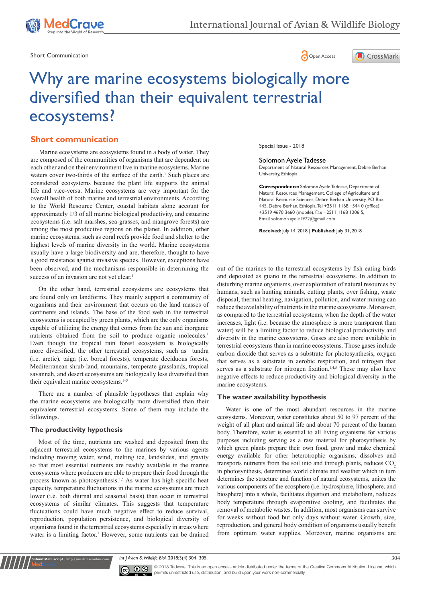

Short Communication **Communication Communication Communication Communication Communication** 

edCrave





# Why are marine ecosystems biologically more diversified than their equivalent terrestrial ecosystems?

# **Short communication**

been observed, and the mechanisms responsible in determining the success of an invasion are not yet clear.<sup>1</sup> Marine ecosystems are ecosystems found in a body of water. They are composed of the communities of organisms that are dependent on each other and on their environment live in marine ecosystems. Marine waters cover two-thirds of the surface of the earth.<sup>1</sup> Such places are considered ecosystems because the plant life supports the animal life and vice-versa. Marine ecosystems are very important for the overall health of both marine and terrestrial environments. According to the World Resource Center, coastal habitats alone account for approximately 1/3 of all marine biological productivity, and estuarine ecosystems (i.e. salt marshes, sea-grasses, and mangrove forests) are among the most productive regions on the planet. In addition, other marine ecosystems, such as coral reefs provide food and shelter to the highest levels of marine diversity in the world. Marine ecosystems usually have a large biodiversity and are, therefore, thought to have a good resistance against invasive species. However, exceptions have

On the other hand, terrestrial ecosystems are ecosystems that are found only on landforms. They mainly support a community of organisms and their environment that occurs on the land masses of continents and islands. The base of the food web in the terrestrial ecosystems is occupied by green plants, which are the only organisms capable of utilizing the energy that comes from the sun and inorganic nutrients obtained from the soil to produce organic molecules.<sup>1</sup> Even though the tropical rain forest ecosystem is biologically more diversified, the other terrestrial ecosystems, such as tundra (i.e. arctic), taiga (i.e. boreal forests), temperate deciduous forests, Mediterranean shrub-land, mountains, temperate grasslands, tropical savannah, and desert ecosystems are biologically less diversified than their equivalent marine ecosystems.<sup>1-5</sup>

There are a number of plausible hypotheses that explain why the marine ecosystems are biologically more diversified than their equivalent terrestrial ecosystems. Some of them may include the followings.

#### **The productivity hypothesis**

**it Manuscript** | http://medcraveonline.c

Most of the time, nutrients are washed and deposited from the adjacent terrestrial ecosystems to the marines by various agents including moving water, wind, melting ice, landslides, and gravity so that most essential nutrients are readily available in the marine ecosystems where producers are able to prepare their food through the process known as photosynthesis.<sup>1,5</sup> As water has high specific heat capacity, temperature fluctuations in the marine ecosystems are much lower (i.e. both diurnal and seasonal basis) than occur in terrestrial ecosystems of similar climates. This suggests that temperature fluctuations could have much negative effect to reduce survival, reproduction, population persistence, and biological diversity of organisms found in the terrestrial ecosystems especially in areas where water is a limiting factor.<sup>1</sup> However, some nutrients can be drained Special Issue - 2018

#### Solomon Ayele Tadesse

Department of Natural Resources Management, Debre Berhan University, Ethiopia

**Correspondence:** Solomon Ayele Tadesse, Department of Natural Resources Management, College of Agriculture and Natural Resource Sciences, Debre Berhan University, PO Box 445, Debre Berhan, Ethiopia, Tel +2511 1168 1544 0 (office), +2519 4670 3660 (mobile), Fax +2511 1168 1206 5, Email solomon.ayele1972@gmail.com

**Received:** July 14, 2018 | **Published:** July 31, 2018

out of the marines to the terrestrial ecosystems by fish eating birds and deposited as guano in the terrestrial ecosystems. In addition to disturbing marine organisms, over exploitation of natural resources by humans, such as hunting animals, cutting plants, over fishing, waste disposal, thermal heating, navigation, pollution, and water mining can reduce the availability of nutrients in the marine ecosystems. Moreover, as compared to the terrestrial ecosystems, when the depth of the water increases, light (i.e. because the atmosphere is more transparent than water) will be a limiting factor to reduce biological productivity and diversity in the marine ecosystems. Gases are also more available in terrestrial ecosystems than in marine ecosystems. Those gases include carbon dioxide that serves as a substrate for photosynthesis, oxygen that serves as a substrate in aerobic respiration, and nitrogen that serves as a substrate for nitrogen fixation.<sup>1,4,5</sup> These may also have negative effects to reduce productivity and biological diversity in the marine ecosystems.

#### **The water availability hypothesis**

Water is one of the most abundant resources in the marine ecosystems. Moreover, water constitutes about 50 to 97 percent of the weight of all plant and animal life and about 70 percent of the human body. Therefore, water is essential to all living organisms for various purposes including serving as a raw material for photosynthesis by which green plants prepare their own food, grow and make chemical energy available for other heterotrophic organisms, dissolves and transports nutrients from the soil into and through plants, reduces  $CO<sub>2</sub>$ in photosynthesis, determines world climate and weather which in turn determines the structure and function of natural ecosystems, unites the various components of the ecosphere (i.e. hydrosphere, lithosphere, and biosphere) into a whole, facilitates digestion and metabolism, reduces body temperature through evaporative cooling, and facilitates the removal of metabolic wastes. In addition, most organisms can survive for weeks without food but only days without water. Growth, size, reproduction, and general body condition of organisms usually benefit from optimum water supplies. Moreover, marine organisms are

*Int J Avian & Wildlife Biol.* 2018;3(4):304‒305. 304



© 2018 Tadesse. This is an open access article distributed under the terms of the [Creative Commons Attribution License](https://creativecommons.org/licenses/by-nc/4.0/), which permits unrestricted use, distribution, and build upon your work non-commercially.